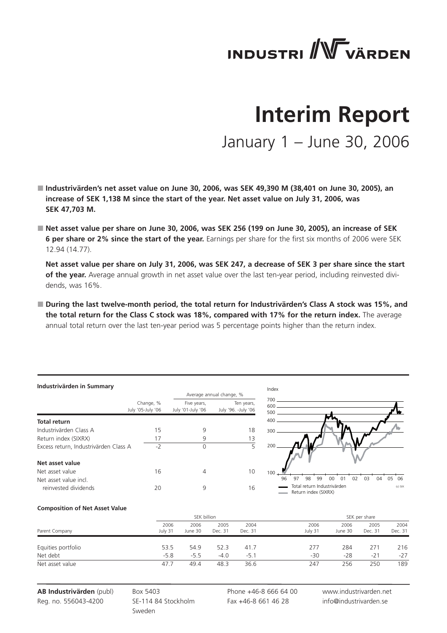# **INDUSTRI** WVÄRDEN

# **Interim Report** January 1 – June 30, 2006

■ Industrivärden's net asset value on June 30, 2006, was SEK 49,390 M (38,401 on June 30, 2005), an **increase of SEK 1,138 M since the start of the year. Net asset value on July 31, 2006, was SEK 47,703 M.**

 **Net asset value per share on June 30, 2006, was SEK 256 (199 on June 30, 2005), an increase of SEK 6 per share or 2% since the start of the year.** Earnings per share for the first six months of 2006 were SEK 12.94 (14.77).

 **Net asset value per share on July 31, 2006, was SEK 247, a decrease of SEK 3 per share since the start of the year.** Average annual growth in net asset value over the last ten-year period, including reinvested dividends, was 16%.

■ During the last twelve-month period, the total return for Industrivärden's Class A stock was 15%, and **the total return for the Class C stock was 18%, compared with 17% for the return index.** The average annual total return over the last ten-year period was 5 percentage points higher than the return index.

#### **Industrivärden in Summary**

|                                       |                                | Average annual change, % |                                   |  |  |
|---------------------------------------|--------------------------------|--------------------------|-----------------------------------|--|--|
|                                       | Change, %<br>July '05-July '06 |                          | Ten years,<br>July '96. -July '06 |  |  |
| <b>Total return</b>                   |                                |                          |                                   |  |  |
| Industrivärden Class A                | 15                             | 9                        | 18                                |  |  |
| Return index (SIXRX)                  | 17                             | 9                        | 13                                |  |  |
| Excess return, Industrivärden Class A | $-2$                           | $\Omega$                 | 5                                 |  |  |
| Net asset value                       |                                |                          |                                   |  |  |
| Net asset value                       | 16                             | 4                        | 10                                |  |  |
| Net asset value incl.                 |                                |                          |                                   |  |  |
| reinvested dividends                  | 20                             | 9                        | 16                                |  |  |



#### **Composition of Net Asset Value**

|                    |                 | SEK billion     |                 |                 |                 | SEK per share   |                 |                 |
|--------------------|-----------------|-----------------|-----------------|-----------------|-----------------|-----------------|-----------------|-----------------|
| Parent Company     | 2006<br>July 31 | 2006<br>June 30 | 2005<br>Dec. 31 | 2004<br>Dec. 31 | 2006<br>July 31 | 2006<br>June 30 | 2005<br>Dec. 31 | 2004<br>Dec. 31 |
| Equities portfolio | 53.5            | 54.9            | 52.3            | 41.7            | 277             | 284             | 271             | 216             |
| Net debt           | $-5.8$          | $-5.5$          | $-4.0$          | $-5.1$          | $-30$           | $-28$           | $-21$           | $-27$           |
| Net asset value    | 47.7            | 49.4            | 48.3            | 36.6            | 247             | 256             | 250             | 189             |

**AB Industrivärden** (publ) Reg. no. 556043-4200

Box 5403 SE-114 84 Stockholm Sweden

Phone +46-8 666 64 00 Fax +46-8 661 46 28

www.industrivarden.net info@industrivarden.se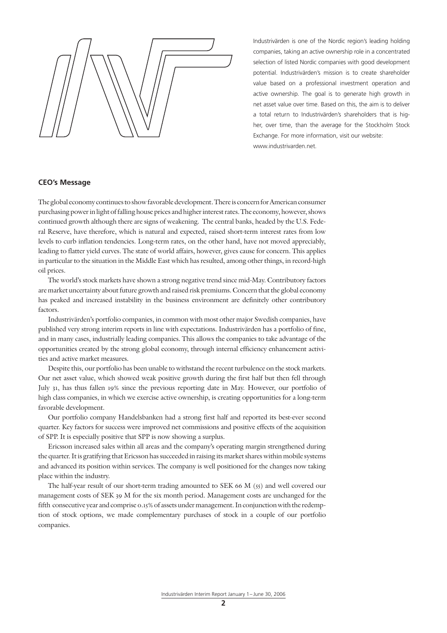Industrivärden is one of the Nordic region's leading holding companies, taking an active ownership role in a concentrated selection of listed Nordic companies with good development potential. Industrivärden's mission is to create shareholder value based on a professional investment operation and active ownership. The goal is to generate high growth in net asset value over time. Based on this, the aim is to deliver a total return to Industrivärden's shareholders that is higher, over time, than the average for the Stockholm Stock Exchange. For more information, visit our website: www.industrivarden.net.

#### **CEO's Message**

The global economy continues to show favorable development. There is concern for American consumer purchasing power in light of falling house prices and higher interest rates. The economy, however, shows continued growth although there are signs of weakening. The central banks, headed by the U.S. Federal Reserve, have therefore, which is natural and expected, raised short-term interest rates from low levels to curb inflation tendencies. Long-term rates, on the other hand, have not moved appreciably, leading to flatter yield curves. The state of world affairs, however, gives cause for concern. This applies in particular to the situation in the Middle East which has resulted, among other things, in record-high oil prices.

The world's stock markets have shown a strong negative trend since mid-May. Contributory factors are market uncertainty about future growth and raised risk premiums. Concern that the global economy has peaked and increased instability in the business environment are definitely other contributory factors.

Industrivärden's portfolio companies, in common with most other major Swedish companies, have published very strong interim reports in line with expectations. Industrivärden has a portfolio of fine, and in many cases, industrially leading companies. This allows the companies to take advantage of the opportunities created by the strong global economy, through internal efficiency enhancement activities and active market measures.

Despite this, our portfolio has been unable to withstand the recent turbulence on the stock markets. Our net asset value, which showed weak positive growth during the first half but then fell through July 31, has thus fallen 19% since the previous reporting date in May. However, our portfolio of high class companies, in which we exercise active ownership, is creating opportunities for a long-term favorable development.

Our portfolio company Handelsbanken had a strong first half and reported its best-ever second quarter. Key factors for success were improved net commissions and positive effects of the acquisition of SPP. It is especially positive that SPP is now showing a surplus.

Ericsson increased sales within all areas and the company's operating margin strengthened during the quarter. It is gratifying that Ericsson has succeeded in raising its market shares within mobile systems and advanced its position within services. The company is well positioned for the changes now taking place within the industry.

The half-year result of our short-term trading amounted to SEK 66 M (55) and well covered our management costs of SEK 39 M for the six month period. Management costs are unchanged for the fifth consecutive year and comprise 0.15% of assets under management. In conjunction with the redemption of stock options, we made complementary purchases of stock in a couple of our portfolio companies.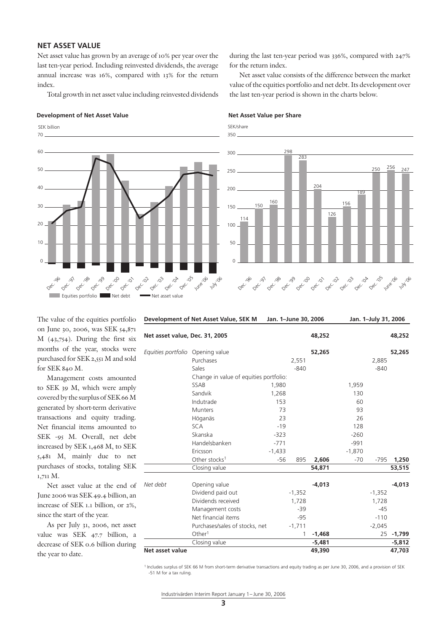# **NET ASSET VALUE**

Net asset value has grown by an average of 10% per year over the last ten-year period. Including reinvested dividends, the average annual increase was 16%, compared with 13% for the return index.

Total growth in net asset value including reinvested dividends

#### **Development of Net Asset Value Net Asset Value per Share**



during the last ten-year period was 336%, compared with 247% for the return index.

Net asset value consists of the difference between the market value of the equities portfolio and net debt. Its development over the last ten-year period is shown in the charts below.

SEK/share Dec. '96 Dec. '97 Dec. '98 Dec. '99 Dec. '00 Dec. '01 Dec. '02 Dec. '03 Dec. '04 Dec. '05 June '06 July 106 114 150 160 298 283 204 126 156 189 250 256 247  $\overline{0}$ 50  $100$ 150 200 250 300 350

The value of the equities portfolio on June 30, 2006, was SEK 54,871 M (43,754). During the first six months of the year, stocks were purchased for SEK 2,551 M and sold for SEK 840 M.

Management costs amounted to SEK 39 M, which were amply covered by the surplus of SEK 66 M generated by short-term derivative transactions and equity trading. Net financial items amounted to SEK -95 M. Overall, net debt increased by SEK 1,468 M, to SEK 5,481 M, mainly due to net purchases of stocks, totaling SEK 1,711 M.

Net asset value at the end of June 2006 was SEK 49.4 billion, an increase of SEK 1.1 billion, or 2%, since the start of the year.

As per July 31, 2006, net asset value was SEK 47.7 billion, a decrease of SEK 0.6 billion during the year to date.

| Development of Net Asset Value, SEK M |                                        |          | Jan. 1-June 30, 2006 |          |          | Jan. 1-July 31, 2006 |            |  |
|---------------------------------------|----------------------------------------|----------|----------------------|----------|----------|----------------------|------------|--|
| Net asset value, Dec. 31, 2005        |                                        |          |                      | 48,252   |          |                      | 48,252     |  |
| Equities portfolio Opening value      |                                        |          |                      | 52,265   |          | 52,265               |            |  |
|                                       | Purchases                              |          | 2,551                |          |          | 2,885                |            |  |
|                                       | Sales                                  |          | $-840$               |          |          | $-840$               |            |  |
|                                       | Change in value of equities portfolio: |          |                      |          |          |                      |            |  |
|                                       | SSAB                                   | 1,980    |                      |          | 1,959    |                      |            |  |
|                                       | Sandvik                                | 1,268    |                      |          | 130      |                      |            |  |
|                                       | Indutrade                              | 153      |                      |          | 60       |                      |            |  |
|                                       | <b>Munters</b>                         | 73       |                      |          | 93       |                      |            |  |
|                                       | Höganäs                                | 23       |                      |          | 26       |                      |            |  |
|                                       | <b>SCA</b>                             | $-19$    |                      |          | 128      |                      |            |  |
|                                       | Skanska                                | $-323$   |                      |          | $-260$   |                      |            |  |
|                                       | Handelsbanken                          | $-771$   |                      |          | $-991$   |                      |            |  |
|                                       | Ericsson                               | $-1,433$ |                      |          | $-1,870$ |                      |            |  |
|                                       | Other stocks <sup>1</sup>              | $-56$    | 895                  | 2,606    | $-70$    | $-795$               | 1,250      |  |
|                                       | Closing value                          |          |                      | 54,871   |          |                      | 53,515     |  |
| Net debt                              | Opening value                          |          |                      | $-4,013$ |          |                      | $-4,013$   |  |
|                                       | Dividend paid out                      |          | $-1,352$             |          |          | $-1,352$             |            |  |
|                                       | Dividends received                     |          | 1,728                |          |          | 1,728                |            |  |
|                                       | Management costs                       |          | $-39$                |          |          | $-45$                |            |  |
|                                       | Net financial items                    |          | $-95$                |          |          | $-110$               |            |  |
|                                       | Purchases/sales of stocks, net         |          | $-1,711$             |          |          | $-2,045$             |            |  |
|                                       | Other <sup>1</sup>                     |          | 1                    | $-1,468$ |          |                      | 25 - 1,799 |  |
|                                       | Closing value                          |          |                      | $-5,481$ |          |                      | $-5,812$   |  |
| Net asset value                       |                                        |          |                      | 49,390   |          |                      | 47.703     |  |

1 Includes surplus of SEK 66 M from short-term derivative transactions and equity trading as per June 30, 2006, and a provision of SEK -51 M for a tax ruling.

Industrivärden Interim Report January 1– June 30, 2006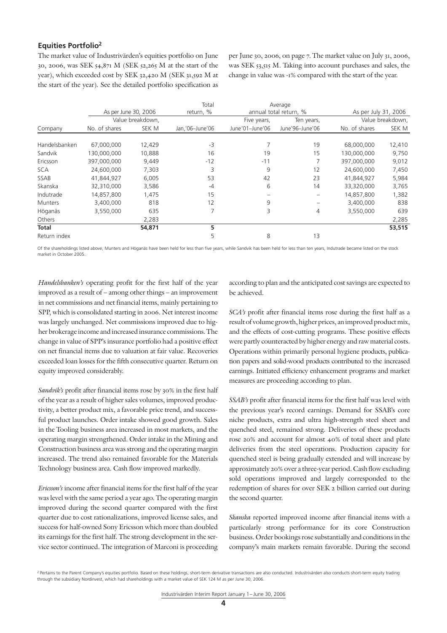# **Equities Portfolio2**

The market value of Industrivärden's equities portfolio on June 30, 2006, was SEK 54,871 M (SEK 52,265 M at the start of the year), which exceeded cost by SEK 32,420 M (SEK 31,592 M at the start of the year). See the detailed portfolio specification as

per June 30, 2006, on page 7. The market value on July 31, 2006, was SEK 53,515 M. Taking into account purchases and sales, the change in value was -1% compared with the start of the year.

|                |                      |                  | Total            |                 | Average                |                      |                  |
|----------------|----------------------|------------------|------------------|-----------------|------------------------|----------------------|------------------|
|                | As per June 30, 2006 |                  | return, %        |                 | annual total return, % | As per July 31, 2006 |                  |
|                |                      | Value breakdown, |                  | Five years,     | Ten years,             |                      | Value breakdown, |
| Company        | No. of shares        | SEK M            | Jan, '06-June'06 | June'01-June'06 | June'96-June'06        | No. of shares        | SEK M            |
|                |                      |                  |                  |                 |                        |                      |                  |
| Handelsbanken  | 67,000,000           | 12,429           | $-3$             |                 | 19                     | 68,000,000           | 12,410           |
| Sandvik        | 130,000,000          | 10,888           | 16               | 19              | 15                     | 130,000,000          | 9,750            |
| Ericsson       | 397,000,000          | 9,449            | $-12$            | $-11$           | 7                      | 397,000,000          | 9,012            |
| <b>SCA</b>     | 24,600,000           | 7,303            | 3                | 9               | 12                     | 24,600,000           | 7,450            |
| <b>SSAB</b>    | 41,844,927           | 6,005            | 53               | 42              | 23                     | 41,844,927           | 5,984            |
| Skanska        | 32,310,000           | 3,586            | $-4$             | 6               | 14                     | 33,320,000           | 3,765            |
| Indutrade      | 14,857,800           | 1,475            | 15               |                 | $\qquad \qquad$        | 14,857,800           | 1,382            |
| <b>Munters</b> | 3,400,000            | 818              | 12               | 9               |                        | 3,400,000            | 838              |
| Höganäs        | 3,550,000            | 635              |                  | 3               | 4                      | 3,550,000            | 639              |
| Others         |                      | 2,283            |                  |                 |                        |                      | 2,285            |
| <b>Total</b>   |                      | 54,871           | 5                |                 |                        |                      | 53,515           |
| Return index   |                      |                  | 5                | 8               | 13                     |                      |                  |

Of the shareholdings listed above, Munters and Höganäs have been held for less than five years, while Sandvik has been held for less than ten years, Indutrade became listed on the stock market in October 2005.

*Handelsbanken's* operating profit for the first half of the year improved as a result of – among other things – an improvement in net commissions and net financial items, mainly pertaining to SPP, which is consolidated starting in 2006. Net interest income was largely unchanged. Net commissions improved due to higher brokerage income and increased insurance commissions. The change in value of SPP's insurance portfolio had a positive effect on net financial items due to valuation at fair value. Recoveries exceeded loan losses for the fifth consecutive quarter. Return on equity improved considerably.

*Sandvik's* profit after financial items rose by 30% in the first half of the year as a result of higher sales volumes, improved productivity, a better product mix, a favorable price trend, and successful product launches. Order intake showed good growth. Sales in the Tooling business area increased in most markets, and the operating margin strengthened. Order intake in the Mining and Construction business area was strong and the operating margin increased. The trend also remained favorable for the Materials Technology business area. Cash flow improved markedly.

*Ericsson's* income after financial items for the first half of the year was level with the same period a year ago. The operating margin improved during the second quarter compared with the first quarter due to cost rationalizations, improved license sales, and success for half-owned Sony Ericsson which more than doubled its earnings for the first half. The strong development in the service sector continued. The integration of Marconi is proceeding according to plan and the anticipated cost savings are expected to be achieved.

*SCA's* profit after financial items rose during the first half as a result of volume growth, higher prices, an improved product mix, and the effects of cost-cutting programs. These positive effects were partly counteracted by higher energy and raw material costs. Operations within primarily personal hygiene products, publication papers and solid-wood products contributed to the increased earnings. Initiated efficiency enhancement programs and market measures are proceeding according to plan.

*SSAB's* profit after financial items for the first half was level with the previous year's record earnings. Demand for SSAB's core niche products, extra and ultra high-strength steel sheet and quenched steel, remained strong. Deliveries of these products rose 20% and account for almost 40% of total sheet and plate deliveries from the steel operations. Production capacity for quenched steel is being gradually extended and will increase by approximately 20% over a three-year period. Cash flow excluding sold operations improved and largely corresponded to the redemption of shares for over SEK 2 billion carried out during the second quarter.

*Skanska* reported improved income after financial items with a particularly strong performance for its core Construction business. Order bookings rose substantially and conditions in the company's main markets remain favorable. During the second

<sup>&</sup>lt;sup>2</sup> Pertains to the Parent Company's equities portfolio. Based on these holdings, short-term derivative transactions are also conducted. Industrivärden also conducts short-term equity trading through the subsidiary Nordinvest, which had shareholdings with a market value of SEK 124 M as per June 30, 2006.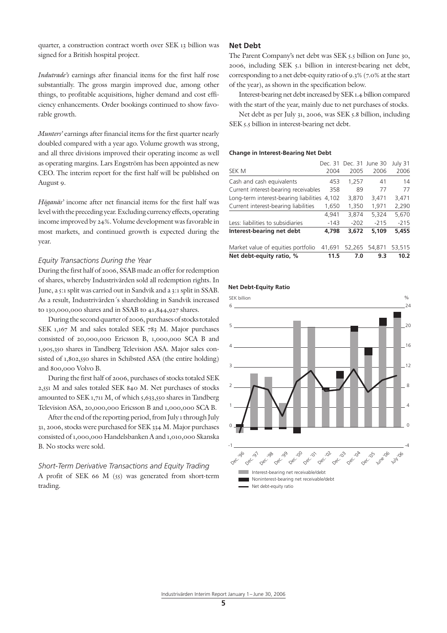quarter, a construction contract worth over SEK 13 billion was signed for a British hospital project.

*Indutrade's* earnings after financial items for the first half rose substantially. The gross margin improved due, among other things, to profitable acquisitions, higher demand and cost efficiency enhancements. Order bookings continued to show favorable growth.

*Munters'* earnings after financial items for the first quarter nearly doubled compared with a year ago. Volume growth was strong, and all three divisions improved their operating income as well as operating margins. Lars Engström has been appointed as new CEO. The interim report for the first half will be published on August 9.

*Höganäs'* income after net financial items for the first half was level with the preceding year. Excluding currency effects, operating income improved by 24%. Volume development was favorable in most markets, and continued growth is expected during the year.

#### *Equity Transactions During the Year*

During the first half of 2006, SSAB made an offer for redemption of shares, whereby Industrivärden sold all redemption rights. In June, a 5:1 split was carried out in Sandvik and a 3:1 split in SSAB. As a result, Industrivärden´s shareholding in Sandvik increased to 130,000,000 shares and in SSAB to 41,844,927 shares.

During the second quarter of 2006, purchases of stocks totaled SEK 1,167 M and sales totaled SEK 783 M. Major purchases consisted of 20,000,000 Ericsson B, 1,000,000 SCA B and 1,905,350 shares in Tandberg Television ASA. Major sales consisted of 1,802,550 shares in Schibsted ASA (the entire holding) and 800,000 Volvo B.

During the first half of 2006, purchases of stocks totaled SEK 2,551 M and sales totaled SEK 840 M. Net purchases of stocks amounted to SEK 1,711 M, of which 5,633,550 shares in Tandberg Television ASA, 20,000,000 Ericsson B and 1,000,000 SCA B.

After the end of the reporting period, from July 1 through July 31, 2006, stocks were purchased for SEK 334 M. Major purchases consisted of 1,000,000 Handelsbanken A and 1,010,000 Skanska B. No stocks were sold.

*Short-Term Derivative Transactions and Equity Trading* A profit of SEK 66 M (55) was generated from short-term trading.

# **Net Debt**

The Parent Company's net debt was SEK 5.5 billion on June 30, 2006, including SEK 5.1 billion in interest-bearing net debt, corresponding to a net debt-equity ratio of 9.3% (7.0% at the start of the year), as shown in the specification below.

Interest-bearing net debt increased by SEK 1.4 billion compared with the start of the year, mainly due to net purchases of stocks.

Net debt as per July 31, 2006, was SEK 5.8 billion, including SEK 5.5 billion in interest-bearing net debt.

#### **Change in Interest-Bearing Net Debt**

| Net debt-equity ratio, %               | 11.5   | 7.0                     | 9.3    | 10.2    |
|----------------------------------------|--------|-------------------------|--------|---------|
| Market value of equities portfolio     | 41.691 | 52,265                  | 54,871 | 53,515  |
| Interest-bearing net debt              | 4,798  | 3.672                   | 5,109  | 5,455   |
| Less: liabilities to subsidiaries      | $-143$ | $-202$                  | $-215$ | $-215$  |
|                                        | 4,941  | 3,874                   | 5,324  | 5,670   |
| Current interest-bearing liabilities   | 1,650  | 1,350                   | 1,971  | 2,290   |
| Long-term interest-bearing liabilities | 4,102  | 3,870                   | 3,471  | 3,471   |
| Current interest-bearing receivables   | 358    | 89                      | 77     | 77      |
| Cash and cash equivalents              | 453    | 1,257                   | 41     | 14      |
| SEK M                                  | 2004   | 2005                    | 2006   | 2006    |
|                                        |        | Dec. 31 Dec. 31 June 30 |        | July 31 |



#### **Net Debt-Equity Ratio**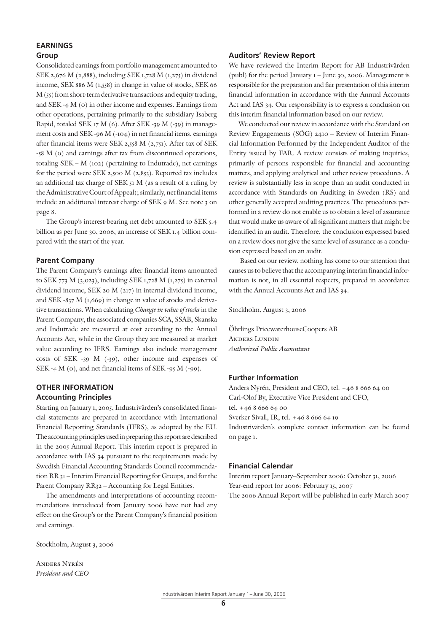# **EARNINGS Group**

Consolidated earnings from portfolio management amounted to SEK 2,676 M (2,888), including SEK 1,728 M (1,275) in dividend income, SEK 886 M (1,558) in change in value of stocks, SEK 66 M (55) from short-term derivative transactions and equity trading, and SEK -4 M (0) in other income and expenses. Earnings from other operations, pertaining primarily to the subsidiary Isaberg Rapid, totaled SEK 17 M (6). After SEK -39 M (-39) in management costs and SEK -96 M (-104) in net financial items, earnings after financial items were SEK 2,558 M (2,751). After tax of SEK -58 M (0) and earnings after tax from discontinued operations, totaling SEK – M (102) (pertaining to Indutrade), net earnings for the period were SEK 2,500 M (2,853). Reported tax includes an additional tax charge of SEK 51 M (as a result of a ruling by the Administrative Court of Appeal); similarly, net financial items include an additional interest charge of SEK 9 M. See note 3 on page 8.

The Group's interest-bearing net debt amounted to SEK 5.4 billion as per June 30, 2006, an increase of SEK 1.4 billion compared with the start of the year.

# **Parent Company**

The Parent Company's earnings after financial items amounted to SEK 773 M (3,023), including SEK 1,728 M (1,275) in external dividend income, SEK 20 M (217) in internal dividend income, and SEK -837 M (1,669) in change in value of stocks and derivative transactions. When calculating *Change in value of stocks* in the Parent Company, the associated companies SCA, SSAB, Skanska and Indutrade are measured at cost according to the Annual Accounts Act, while in the Group they are measured at market value according to IFRS. Earnings also include management costs of SEK -39 M (-39), other income and expenses of SEK -4 M (0), and net financial items of SEK -95 M (-99).

# **OTHER INFORMATION**

# **Accounting Principles**

Starting on January 1, 2005, Industrivärden's consolidated financial statements are prepared in accordance with International Financial Reporting Standards (IFRS), as adopted by the EU. The accounting principles used in preparing this report are described in the 2005 Annual Report. This interim report is prepared in accordance with IAS 34 pursuant to the requirements made by Swedish Financial Accounting Standards Council recommendation RR 31 – Interim Financial Reporting for Groups, and for the Parent Company RR32 – Accounting for Legal Entities.

The amendments and interpretations of accounting recommendations introduced from January 2006 have not had any effect on the Group's or the Parent Company's financial position and earnings.

Stockholm, August 3, 2006

Anders Nyrén *President and CEO*

# **Auditors' Review Report**

We have reviewed the Interim Report for AB Industrivärden (publ) for the period January 1 – June 30, 2006. Management is responsible for the preparation and fair presentation of this interim financial information in accordance with the Annual Accounts Act and IAS 34. Our responsibility is to express a conclusion on this interim financial information based on our review.

We conducted our review in accordance with the Standard on Review Engagements (SÖG) 2410 – Review of Interim Financial Information Performed by the Independent Auditor of the Entity issued by FAR. A review consists of making inquiries, primarily of persons responsible for financial and accounting matters, and applying analytical and other review procedures. A review is substantially less in scope than an audit conducted in accordance with Standards on Auditing in Sweden (RS) and other generally accepted auditing practices. The procedures performed in a review do not enable us to obtain a level of assurance that would make us aware of all significant matters that might be identified in an audit. Therefore, the conclusion expressed based on a review does not give the same level of assurance as a conclusion expressed based on an audit.

 Based on our review, nothing has come to our attention that causes us to believe that the accompanying interim financial information is not, in all essential respects, prepared in accordance with the Annual Accounts Act and IAS 34.

Stockholm, August 3, 2006

Öhrlings PricewaterhouseCoopers AB Anders Lundin *Authorized Public Accountant*

# **Further Information**

Anders Nyrén, President and CEO, tel. +46 8 666 64 00 Carl-Olof By, Executive Vice President and CFO, tel. +46 8 666 64 00 Sverker Sivall, IR, tel. +46 8 666 64 19 Industrivärden's complete contact information can be found on page 1.

# **Financial Calendar**

Interim report January–September 2006: October 31, 2006 Year-end report for 2006: February 15, 2007 The 2006 Annual Report will be published in early March 2007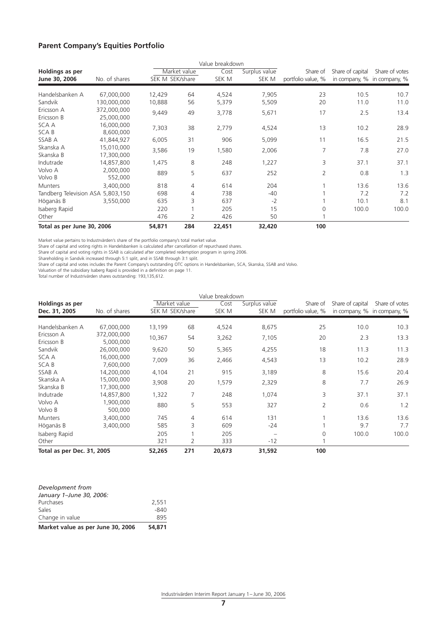# **Parent Company's Equities Portfolio**

|                                         |                           |                 |              | Value breakdown |                        |                                |                  |                                               |
|-----------------------------------------|---------------------------|-----------------|--------------|-----------------|------------------------|--------------------------------|------------------|-----------------------------------------------|
| <b>Holdings as per</b><br>June 30, 2006 | No. of shares             | SEK M SEK/share | Market value | Cost<br>SEK M   | Surplus value<br>SEK M | Share of<br>portfolio value, % | Share of capital | Share of votes<br>in company, % in company, % |
| Handelsbanken A                         | 67,000,000                | 12,429          | 64           | 4,524           | 7,905                  | 23                             | 10.5             | 10.7                                          |
| Sandvik                                 | 130,000,000               | 10,888          | 56           | 5,379           | 5,509                  | 20                             | 11.0             | 11.0                                          |
| Ericsson A<br>Ericsson B                | 372,000,000<br>25,000,000 | 9,449           | 49           | 3,778           | 5,671                  | 17                             | 2.5              | 13.4                                          |
| SCA A<br>SCA B                          | 16,000,000<br>8,600,000   | 7,303           | 38           | 2,779           | 4,524                  | 13                             | 10.2             | 28.9                                          |
| SSAB A                                  | 41.844.927                | 6,005           | 31           | 906             | 5,099                  | 11                             | 16.5             | 21.5                                          |
| Skanska A<br>Skanska B                  | 15,010,000<br>17,300,000  | 3,586           | 19           | 1,580           | 2,006                  | 7                              | 7.8              | 27.0                                          |
| Indutrade                               | 14,857,800                | 1,475           | 8            | 248             | 1,227                  | 3                              | 37.1             | 37.1                                          |
| Volvo A<br>Volvo B                      | 2,000,000<br>552,000      | 889             | 5            | 637             | 252                    | 2                              | 0.8              | 1.3                                           |
| <b>Munters</b>                          | 3,400,000                 | 818             | 4            | 614             | 204                    |                                | 13.6             | 13.6                                          |
| Tandberg Television ASA 5,803,150       |                           | 698             | 4            | 738             | $-40$                  |                                | 7.2              | 7.2                                           |
| Höganäs B                               | 3,550,000                 | 635             | 3            | 637             | $-2$                   |                                | 10.1             | 8.1                                           |
| Isaberg Rapid<br>Other                  |                           | 220<br>476      | 2            | 205<br>426      | 15<br>50               | 0                              | 100.0            | 100.0                                         |
| Total as per June 30, 2006              |                           | 54,871          | 284          | 22,451          | 32,420                 | 100                            |                  |                                               |

Market value pertains to Industrvärden's share of the portfolio company's total market value.

Share of capital and voting rights in Handelsbanken is calculated after cancellation of repurchased shares.

Share of capital and voting rights in SSAB is calculated after completed redemption program in spring 2006.

Shareholding in Sandvik increased through 5:1 split, and in SSAB through 3:1 split.

Share of capital and votes includes the Parent Company's outstanding OTC options in Handelsbanken, SCA, Skanska, SSAB and Volvo.

Valuation of the subsidiary Isaberg Rapid is provided in a definition on page 11.

Total number of Industrivärden shares outstanding: 193,135,612.

|                            |                          |                 |     | Value breakdown |               |                    |                  |                             |
|----------------------------|--------------------------|-----------------|-----|-----------------|---------------|--------------------|------------------|-----------------------------|
| Holdings as per            |                          | Market value    |     | Cost            | Surplus value | Share of           | Share of capital | Share of votes              |
| Dec. 31, 2005              | No. of shares            | SEK M SEK/share |     | SEK M           | SEK M         | portfolio value, % |                  | in company, % in company, % |
| Handelsbanken A            | 67,000,000               | 13,199          | 68  | 4,524           | 8,675         | 25                 | 10.0             | 10.3                        |
| Ericsson A                 | 372,000,000              | 10,367          | 54  | 3,262           | 7,105         | 20                 | 2.3              | 13.3                        |
| Ericsson B<br>Sandvik      | 5,000,000<br>26,000,000  | 9,620           | 50  | 5,365           | 4,255         | 18                 | 11.3             | 11.3                        |
| SCA A                      | 16,000,000               | 7,009           | 36  | 2,466           | 4,543         | 13                 | 10.2             | 28.9                        |
| <b>SCAB</b><br>SSAB A      | 7,600,000<br>14,200,000  | 4,104           | 21  | 915             | 3,189         | 8                  | 15.6             | 20.4                        |
| Skanska A<br>Skanska B     | 15,000,000<br>17,300,000 | 3,908           | 20  | 1,579           | 2,329         | 8                  | 7.7              | 26.9                        |
| Indutrade                  | 14,857,800               | 1,322           | 7   | 248             | 1,074         | 3                  | 37.1             | 37.1                        |
| Volvo A<br>Volvo B         | 1,900,000<br>500,000     | 880             | 5   | 553             | 327           | $\overline{2}$     | 0.6              | 1.2                         |
| <b>Munters</b>             | 3,400,000                | 745             | 4   | 614             | 131           |                    | 13.6             | 13.6                        |
| Höganäs B                  | 3,400,000                | 585             | 3   | 609             | $-24$         |                    | 9.7              | 7.7                         |
| Isaberg Rapid              |                          | 205             |     | 205             |               | $\Omega$           | 100.0            | 100.0                       |
| Other                      |                          | 321             | 2   | 333             | $-12$         |                    |                  |                             |
| Total as per Dec. 31, 2005 |                          | 52,265          | 271 | 20,673          | 31,592        | 100                |                  |                             |

| Development from                  |        |
|-----------------------------------|--------|
| January 1-June 30, 2006:          |        |
| Purchases                         | 2.551  |
| Sales                             | $-840$ |
| Change in value                   | 895    |
| Market value as per June 30, 2006 | 54.871 |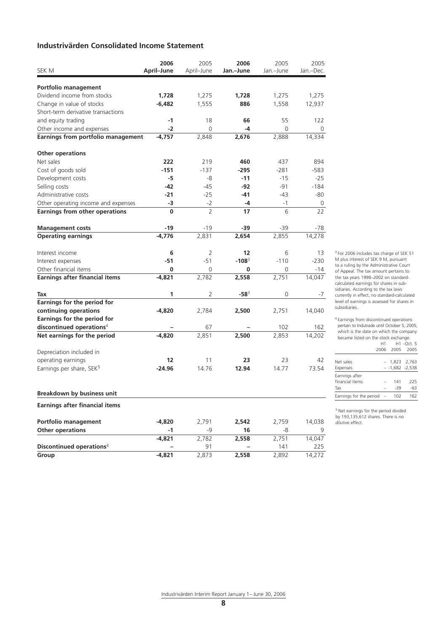# **Industrivärden Consolidated Income Statement**

|                                                     | 2006       | 2005           | 2006      | 2005      | 2005      |
|-----------------------------------------------------|------------|----------------|-----------|-----------|-----------|
| SEK M                                               | April-June | April-June     | Jan.-June | Jan.-June | Jan.-Dec. |
|                                                     |            |                |           |           |           |
| Portfolio management<br>Dividend income from stocks | 1,728      | 1,275          | 1,728     | 1,275     | 1,275     |
| Change in value of stocks                           | $-6,482$   | 1,555          | 886       | 1,558     | 12,937    |
| Short-term derivative transactions                  |            |                |           |           |           |
| and equity trading                                  | $-1$       | 18             | 66        | 55        | 122       |
| Other income and expenses                           | $-2$       | 0              | -4        | 0         | 0         |
| Earnings from portfolio management                  | $-4,757$   | 2,848          | 2,676     | 2,888     | 14,334    |
|                                                     |            |                |           |           |           |
| <b>Other operations</b>                             |            |                |           |           |           |
| Net sales                                           | 222        | 219            | 460       | 437       | 894       |
| Cost of goods sold                                  | $-151$     | $-137$         | $-295$    | $-281$    | -583      |
| Development costs                                   | -5         | -8             | $-11$     | $-15$     | -25       |
| Selling costs                                       | -42        | -45            | -92       | $-91$     | -184      |
| Administrative costs                                | $-21$      | $-25$          | $-41$     | $-43$     | -80       |
| Other operating income and expenses                 | $-3$       | $-2$           | $-4$      | $-1$      | 0         |
| <b>Earnings from other operations</b>               | 0          | $\overline{2}$ | 17        | 6         | 22        |
|                                                     |            |                |           |           |           |
| <b>Management costs</b>                             | -19        | -19            | -39       | -39       | -78       |
| <b>Operating earnings</b>                           | $-4,776$   | 2,831          | 2,654     | 2,855     | 14,278    |
| Interest income                                     | 6          | 2              | 12        | 6         | 13        |
| Interest expenses                                   | $-51$      | $-51$          | $-108^3$  | $-110$    | $-230$    |
| Other financial items                               | 0          | 0              | 0         | 0         | -14       |
| <b>Earnings after financial items</b>               | $-4,821$   | 2,782          | 2,558     | 2,751     | 14,047    |
| Tax                                                 | 1          | 2              | $-58^{3}$ | 0         | -7        |
| Earnings for the period for                         |            |                |           |           |           |
| continuing operations                               | $-4,820$   | 2,784          | 2,500     | 2,751     | 14,040    |
| Earnings for the period for                         |            |                |           |           |           |
| discontinued operations <sup>4</sup>                |            | 67             |           | 102       | 162       |
| Net earnings for the period                         | $-4,820$   | 2,851          | 2,500     | 2,853     | 14,202    |
|                                                     |            |                |           |           |           |
| Depreciation included in                            |            |                |           |           |           |
| operating earnings                                  | 12         | 11             | 23        | 23        | 42        |
| Earnings per share, SEK <sup>5</sup>                | $-24.96$   | 14.76          | 12.94     | 14.77     | 73.54     |
|                                                     |            |                |           |           |           |
| <b>Breakdown by business unit</b>                   |            |                |           |           |           |
| <b>Earnings after financial items</b>               |            |                |           |           |           |
| Portfolio management                                | $-4,820$   | 2,791          | 2,542     | 2,759     | 14,038    |
| <b>Other operations</b>                             | -1         | -9             | 16        | -8        |           |
|                                                     | $-4,821$   | 2,782          | 2,558     | 2,751     | 14,047    |
| Discontinued operations <sup>4</sup>                |            | 91             |           | 141       | 225       |
| Group                                               | $-4,821$   | 2,873          | 2,558     | 2,892     | 14,272    |

<sup>3</sup> For 2006 includes tax charge of SEK 51 M plus interest of SEK 9 M, pursuant to a ruling by the Administrative Court of Appeal. The tax amount pertains to the tax years 1998–2002 on standardcalculated earnings for shares in subsidiaries. According to the tax laws currently in effect, no standard-calculated level of earnings is assessed for shares in subsidiaries.

4 Earnings from discontinued operations pertain to Indutrade until October 5, 2005, which is the date on which the company became listed on the stock exchange. H1 H1 –Oct. 5

|                         |                          | 2006 2005 2005    |             |
|-------------------------|--------------------------|-------------------|-------------|
| Net sales               | $\overline{\phantom{0}}$ |                   | 1,823 2,763 |
| Expenses                |                          | $- -1.682 -2.538$ |             |
| Earnings after          |                          |                   |             |
| financial items         |                          | 141               | 225         |
| Tax                     |                          | $-39$             | -63         |
| Earnings for the period |                          | 102               |             |

5 Net earnings for the period divided by 193,135,612 shares. There is no dilutive effect.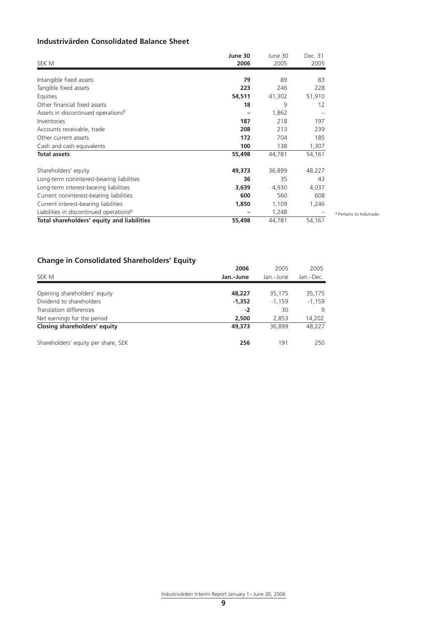# **Industrivärden Consolidated Balance Sheet**

| SEK M                                               | June 30<br>2006 | June 30<br>2005 | Dec. 31<br>2005 |
|-----------------------------------------------------|-----------------|-----------------|-----------------|
| Intangible fixed assets                             | 79              | 89              | 83              |
| Tangible fixed assets                               | 223             | 246             | 228             |
| Equities                                            | 54,511          | 41,302          | 51,910          |
| Other financial fixed assets                        | 18              | 9               | 12              |
| Assets in discontinued operations <sup>6</sup>      |                 | 1,862           |                 |
| Inventories                                         | 187             | 218             | 197             |
| Accounts receivable, trade                          | 208             | 213             | 239             |
| Other current assets                                | 172             | 704             | 185             |
| Cash and cash equivalents                           | 100             | 138             | 1,307           |
| <b>Total assets</b>                                 | 55,498          | 44,781          | 54,161          |
| Shareholders' equity                                | 49,373          | 36,899          | 48,227          |
| Long-term noninterest-bearing liabilities           | 36              | 35              | 43              |
| Long-term interest-bearing liabilities              | 3,639           | 4,930           | 4,037           |
| Current noninterest-bearing liabilities             | 600             | 560             | 608             |
| Current interest-bearing liabilities                | 1,850           | 1,109           | 1,246           |
| Liabilities in discontinued operations <sup>6</sup> |                 | 1,248           |                 |
| Total shareholders' equity and liabilities          | 55,498          | 44,781          | 54,161          |

6 Pertains to Indutrade.

# **Change in Consolidated Shareholders' Equity**

| Jan.-June | Jan.-June | Jan.-Dec. |
|-----------|-----------|-----------|
|           |           |           |
|           |           | 35,175    |
| $-1.352$  | $-1.159$  | $-1,159$  |
| $-2$      | 30        | 9         |
| 2,500     | 2,853     | 14,202    |
| 49,373    | 36,899    | 48.227    |
| 256       | 191       | 250       |
|           | 48,227    | 35,175    |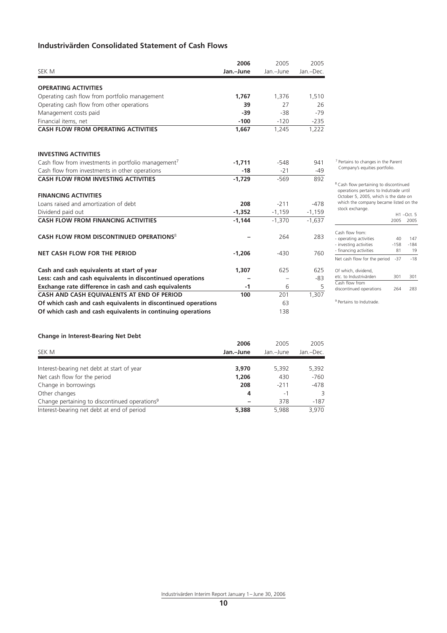# **Industrivärden Consolidated Statement of Cash Flows**

|                                                                 | 2006      | 2005      | 2005      |
|-----------------------------------------------------------------|-----------|-----------|-----------|
| SEK M                                                           | Jan.-June | Jan.-June | Jan.-Dec. |
| <b>OPERATING ACTIVITIES</b>                                     |           |           |           |
| Operating cash flow from portfolio management                   | 1.767     | 1.376     | 1,510     |
| Operating cash flow from other operations                       | 39        | 27        | 26        |
| Management costs paid                                           | $-39$     | $-38$     | $-79$     |
| Financial items, net                                            | $-100$    | $-120$    | $-235$    |
| <b>CASH FLOW FROM OPERATING ACTIVITIES</b>                      | 1,667     | 1,245     | 1,222     |
| <b>INVESTING ACTIVITIES</b>                                     |           |           |           |
| Cash flow from investments in portfolio management <sup>7</sup> | $-1,711$  | $-548$    | 941       |
| Cash flow from investments in other operations                  | $-18$     | $-21$     | -49       |
| <b>CASH FLOW FROM INVESTING ACTIVITIES</b>                      | $-1.729$  | $-569$    | 892       |
| <b>FINANCING ACTIVITIES</b>                                     |           |           |           |
| Loans raised and amortization of debt                           | 208       | $-211$    | $-478$    |
| Dividend paid out                                               | $-1,352$  | $-1,159$  | $-1,159$  |
| <b>CASH FLOW FROM FINANCING ACTIVITIES</b>                      | $-1,144$  | $-1,370$  | $-1,637$  |
| CASH FLOW FROM DISCONTINUED OPERATIONS <sup>8</sup>             |           | 264       | 283       |
| <b>NET CASH FLOW FOR THE PERIOD</b>                             | $-1,206$  | $-430$    | 760       |
| Cash and cash equivalents at start of year                      | 1,307     | 625       | 625       |
| Less: cash and cash equivalents in discontinued operations      |           |           | -83       |
| Exchange rate difference in cash and cash equivalents           | $-1$      | 6         | 5         |
| CASH AND CASH EQUIVALENTS AT END OF PERIOD                      | 100       | 201       | 1,307     |
| Of which cash and cash equivalents in discontinued operations   |           | 63        |           |
| Of which cash and cash equivalents in continuing operations     |           | 138       |           |

7 Pertains to changes in the Parent Company's equities portfolio.

8 Cash flow pertaining to discontinued operations pertains to Indutrade until October 5, 2005, which is the date on which the company became listed on the stock exchange.

H1 –Oct. 5 2005 2005

| Cash flow from:<br>- operating activities<br>- investing activities<br>- financing activities | 40<br>$-158$<br>81 | 147<br>$-184$<br>19 |
|-----------------------------------------------------------------------------------------------|--------------------|---------------------|
| Net cash flow for the period                                                                  | -37                | $-18$               |
| Of which, dividend,<br>etc. to Industrivärden                                                 | 301                | 301                 |
| Cash flow from<br>discontinued operations                                                     | 264                | 283                 |

<sup>9</sup> Pertains to Indutrade

# **Change in Interest-Bearing Net Debt**

| Change in interest-bearing net bebt<br>SEK M              | 2006<br>Jan.-June | 2005<br>Jan.-June | 2005<br>Jan.-Dec. |
|-----------------------------------------------------------|-------------------|-------------------|-------------------|
| Interest-bearing net debt at start of year                | 3,970             | 5,392             | 5,392             |
| Net cash flow for the period                              | 1,206             | 430               | $-760$            |
| Change in borrowings                                      | 208               | $-211$            | $-478$            |
| Other changes                                             | 4                 | -1                | 3                 |
| Change pertaining to discontinued operations <sup>9</sup> |                   | 378               | $-187$            |
| Interest-bearing net debt at end of period                | 5,388             | 5.988             | 3,970             |
|                                                           |                   |                   |                   |

Industrivärden Interim Report January 1– June 30, 2006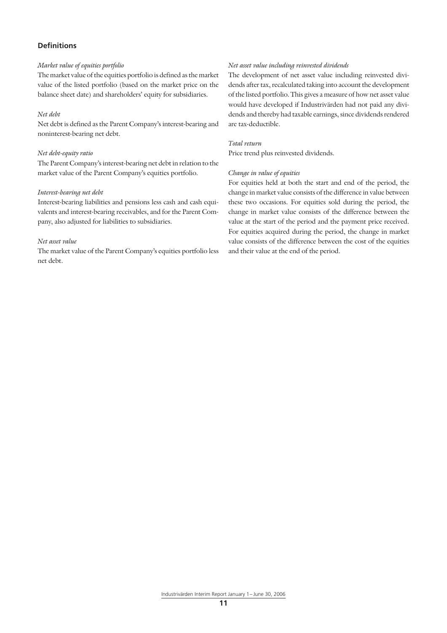# **Definitions**

#### *Market value of equities portfolio*

The market value of the equities portfolio is defined as the market value of the listed portfolio (based on the market price on the balance sheet date) and shareholders' equity for subsidiaries.

### *Net debt*

Net debt is defined as the Parent Company's interest-bearing and noninterest-bearing net debt.

#### *Net debt-equity ratio*

The Parent Company's interest-bearing net debt in relation to the market value of the Parent Company's equities portfolio.

### *Interest-bearing net debt*

Interest-bearing liabilities and pensions less cash and cash equivalents and interest-bearing receivables, and for the Parent Company, also adjusted for liabilities to subsidiaries.

#### *Net asset value*

The market value of the Parent Company's equities portfolio less net debt.

### *Net asset value including reinvested dividends*

The development of net asset value including reinvested dividends after tax, recalculated taking into account the development of the listed portfolio. This gives a measure of how net asset value would have developed if Industrivärden had not paid any dividends and thereby had taxable earnings, since dividends rendered are tax-deductible.

# *Total return*

Price trend plus reinvested dividends.

#### *Change in value of equities*

For equities held at both the start and end of the period, the change in market value consists of the difference in value between these two occasions. For equities sold during the period, the change in market value consists of the difference between the value at the start of the period and the payment price received. For equities acquired during the period, the change in market value consists of the difference between the cost of the equities and their value at the end of the period.